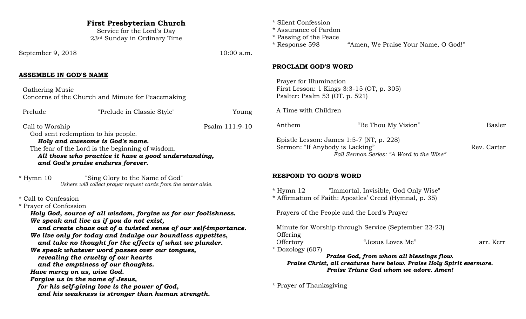| <b>First Presbyterian Church</b><br>Service for the Lord's Day<br>23rd Sunday in Ordinary Time                                                                                   |                                                                                                                                        | * Silent Confession<br>* Assurance of Pardon<br>* Passing of the Peace<br>* Response 598                                                                     | "Amen, We Praise Your Name, O God!"                     |               |
|----------------------------------------------------------------------------------------------------------------------------------------------------------------------------------|----------------------------------------------------------------------------------------------------------------------------------------|--------------------------------------------------------------------------------------------------------------------------------------------------------------|---------------------------------------------------------|---------------|
| September 9, 2018                                                                                                                                                                | 10:00 a.m.                                                                                                                             |                                                                                                                                                              |                                                         |               |
| <b>ASSEMBLE IN GOD'S NAME</b>                                                                                                                                                    |                                                                                                                                        | <b>PROCLAIM GOD'S WORD</b><br>Prayer for Illumination                                                                                                        |                                                         |               |
| Gathering Music<br>Concerns of the Church and Minute for Peacemaking                                                                                                             | First Lesson: 1 Kings 3:3-15 (OT, p. 305)<br>Psalter: Psalm 53 (OT. p. 521)                                                            |                                                                                                                                                              |                                                         |               |
| "Prelude in Classic Style"<br>Prelude                                                                                                                                            | Young                                                                                                                                  | A Time with Children                                                                                                                                         |                                                         |               |
| Call to Worship<br>God sent redemption to his people.                                                                                                                            | Psalm 111:9-10                                                                                                                         | Anthem                                                                                                                                                       | "Be Thou My Vision"                                     | <b>Basler</b> |
| Holy and awesome is God's name.<br>The fear of the Lord is the beginning of wisdom.<br>All those who practice it have a good understanding,<br>and God's praise endures forever. | Epistle Lesson: James 1:5-7 (NT, p. 228)<br>Sermon: "If Anybody is Lacking"<br>Rev. Carter<br>Fall Sermon Series: "A Word to the Wise" |                                                                                                                                                              |                                                         |               |
| $*$ Hymn 10<br>"Sing Glory to the Name of God"<br>Ushers will collect prayer request cards from the center aisle.                                                                |                                                                                                                                        | <b>RESPOND TO GOD'S WORD</b><br>$*$ Hymn 12                                                                                                                  | "Immortal, Invisible, God Only Wise"                    |               |
| * Call to Confession<br>* Prayer of Confession                                                                                                                                   |                                                                                                                                        |                                                                                                                                                              | * Affirmation of Faith: Apostles' Creed (Hymnal, p. 35) |               |
| Holy God, source of all wisdom, forgive us for our foolishness.<br>We speak and live as if you do not exist,<br>and create chaos out of a twisted sense of our self-importance.  |                                                                                                                                        | Prayers of the People and the Lord's Prayer<br>Minute for Worship through Service (September 22-23)                                                          |                                                         |               |
| We live only for today and indulge our boundless appetites,<br>and take no thought for the effects of what we plunder.<br>We speak whatever word passes over our tongues,        |                                                                                                                                        | Offering<br>Offertory<br>* Doxology (607)                                                                                                                    | "Jesus Loves Me"                                        | arr. Kerr     |
| revealing the cruelty of our hearts<br>and the emptiness of our thoughts.<br>Have mercy on us, wise God.                                                                         |                                                                                                                                        | Praise God, from whom all blessings flow.<br>Praise Christ, all creatures here below. Praise Holy Spirit evermore.<br>Praise Triune God whom we adore. Amen! |                                                         |               |
| Forgive us in the name of Jesus,<br>for his self-giving love is the power of God,<br>and his weakness is stronger than human strength.                                           |                                                                                                                                        | * Prayer of Thanksgiving                                                                                                                                     |                                                         |               |